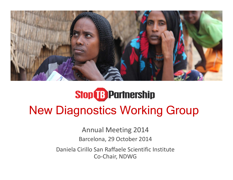

# **Stop B** Partnership New Diagnostics Working Group

Annual Meeting 2014 Barcelona, 29 October 2014

Daniela Cirillo San Raffaele Scientific Institute Co ‐Chair, NDWG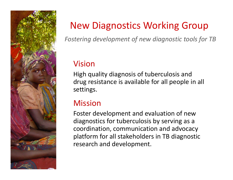

### New Diagnostics Working Group

*Fostering development of new diagnostic tools for TB*

### Vision

High quality diagnosis of tuberculosis and drug resistance is available for all people in all settings.

### **Mission**

Foster development and evaluation of new diagnostics for tuberculosis by serving as <sup>a</sup> coordination, communication and advocacy platform for all stakeholders in TB diagnostic research and development.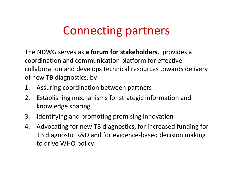## Connecting partners

The NDWG serves as **<sup>a</sup> forum for stakeholders**, provides <sup>a</sup> coordination and communication platform for effective collaboration and develops technical resources towards delivery of new TB diagnostics, by

- 1. Assuring coordination between partners
- 2. Establishing mechanisms for strategic information and knowledge sharing
- 3. Identifying and promoting promising innovation
- 4. Advocating for new TB diagnostics, for increased funding for TB diagnostic R&D and for evidence‐based decision making to drive WHO policy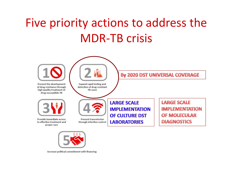# Five priority actions to address the MDR‐TB crisis





Increase political commitment with financing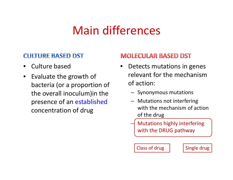## Main differences

### **CULTURE BASED DST**

- •• Culture based
- $\bullet$ • Evaluate the growth of bacteria (or <sup>a</sup> proportion of the overall inoculum)in the presence of an established concentration of drug

### **MOLECULAR BASED DST**

- • Detects mutations in genes relevant for the mechanismof action:
	- Synonymous mutations
	- Mutations not interfering with the mechanism of action of the drug
	- Mutations highly interfering with the DRUG pathway

**Class of drug** 

Single drug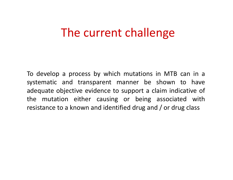### The current challenge

To develop <sup>a</sup> process by which mutations in MTB can in <sup>a</sup> systematic and transparent manner be shown to have adequate objective evidence to support <sup>a</sup> claim indicative of the mutation either causing or being associated with resistance to <sup>a</sup> known and identified drug and / or drug class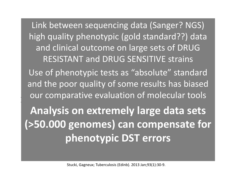and clinical outcome on large sets of DRUG  $\mathbf{G} \cap \mathbf{G}$  and  $\mathbf{G} \cap \mathbf{G}$  the size  $\mathbf{G} \cap \mathbf{G}$ RESISTANT and DRUG SENSITIVE strains  $na$ data / $C$ and data sets high quality phenotypic (gold standard??) data Link between sequencing data (Sanger? NGS)

 $\frac{1}{2}$ and the poor quality of some results has biased Use of phenotypic tests as "absolute" standard our comparative evaluation of molecular tools

**Analysis on extremely large data sets (>50.000 genomes) can compensate for phenotypic DST errors**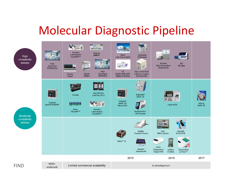## Molecular Diagnostic Pipeline

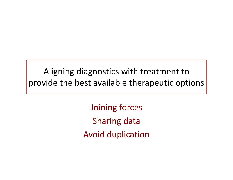Aligning diagnostics with treatment to provide the best available therapeutic options

> Joining forces Sharing data Avoid duplication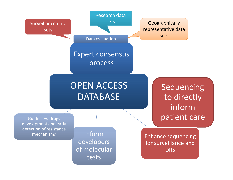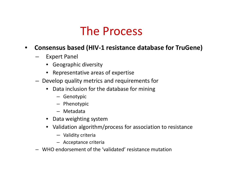### The Process

#### $\bullet$ **Consensus based (HIV‐1 resistance database for TruGene)**

- **Links of the Company**  Expert Panel
	- Geographic diversity
	- Representative areas of expertise
- Develop quality metrics and requirements for
	- • Data inclusion for the database for mining
		- Genotypic
		- Phenotypic
		- Metadata
	- Data weighting system
	- Validation algorithm/process for association to resistance
		- Validity criteria
		- Acceptance criteria
- WHO endorsement of the 'validated' resistance mutation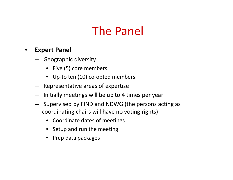## The Panel

#### •**Expert Panel**

- Geographic diversity
	- Five (5) core members
	- Up‐to ten (10) co‐opted members
- Representative areas of expertise
- **Links of the Company** Initially meetings will be up to 4 times per year
- **Links of the Company**  $-$  Supervised by FIND and NDWG (the persons acting as coordinating chairs will have no voting rights)
	- Coordinate dates of meetings
	- Setup and run the meeting
	- Prep data packages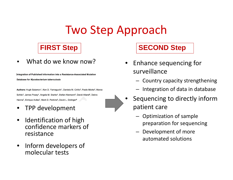## Two Step Approach

•What do we know now?

Integration of Published Information into a Resistance-Associated Mutation Database for Mycobacterium tuberculosis

Authors: Hugh Salamon<sup>1</sup>, Ken D. Yamaguchi<sup>1</sup>, Daniela M. Cirillo<sup>2</sup>, Paolo Miotto<sup>2</sup>, Marco Schito<sup>3</sup>, James Posey<sup>4</sup>, Angela M. Starks<sup>4</sup>, Stefan Niemann<sup>5</sup>, David Alland<sup>6</sup>, Debra Hanna<sup>7</sup>, Enrique Aviles<sup>7</sup>, Mark D. Perkins<sup>8</sup>, David L. Dolinger<sup>8</sup>

- •• TPP development
- • $\bullet$  Identification of high confidence markers of resistance
- $\bullet$ • Inform developers of molecular tests



### **FIRST Step SECOND Step**

- •• Enhance sequencing for surveillance
	- Country capacity strengthening
	- Integration of data in database
- Sequencing to directly inform patient care
	- – Optimization of sample preparation for sequencing
	- – Development of more automated solutions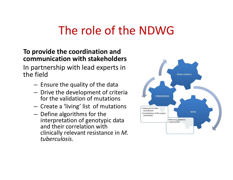## The role of the NDWG

### **To provide the coordination and communication with stakeholders**

In partnership with lead experts in the field

- – $-$  Ensure the quality of the data
- – $-$  Drive the development of criteria for the validation of mutations
- $-$  Create a 'living' list of mutations
- – $-$  Define algorithms for the interpretation of genotypic data and their correlation with clinically relevant resistance in *M. tuberculosis*.

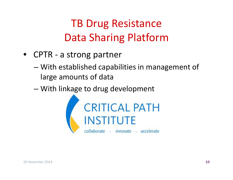## TB Drug Resistance Data Sharing Platform

- CPTR ‐ a strong partner
	- – With established capabilities in management of large amounts of data
	- –With linkage to drug development

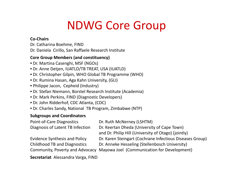## NDWG Core Group

#### **Co‐Chairs**

- Dr. Catharina Boehme, FIND
- Dr. Daniela Cirillo, San Raffaele Research Institute

#### **Core Group Members (and constituency)**

- Dr. Martina Casenghi, MSF (NGOs)
- Dr. Anne Detjen, IUATLD/TB TREAT, USA (IUATLD)
- Dr. Christopher Gilpin, WHO Global TB Programme (WHO)
- Dr. Rumina Hasan, Aga Kahn University, (GLI)
- Philippe Jacon, Cepheid (Industry)
- Dr. Stefan Niemann, Borstel Research Institute (Academia)
- Dr. Mark Perkins, FIND (Diagnostic Developers)
- Dr. John Ridderhof, CDC Atlanta, (CDC)
- Dr. Charles Sandy, National TB Program, Zimbabwe (NTP)

#### **Subgroups and Coordinators**

| Point-of-Care Diagnostics            | Dr. Ruth McNerney (LSHTM)                                |
|--------------------------------------|----------------------------------------------------------|
| Diagnosis of Latent TB Infection     | Dr. Keertan Dheda (University of Cape Town)              |
|                                      | and Dr. Philip Hill (University of Otago) (jointly)      |
| <b>Evidence Synthesis and Policy</b> | Dr. Karen Steingart (Cochrane Infectious Diseases Group) |
| <b>Childhood TB and Diagnostics</b>  | Dr. Anneke Hesseling (Stellenbosch University)           |
| Community, Poverty and Advocacy      | Mayowa Joel (Communication for Development)              |
| Secretariat Alessandra Varga, FIND   |                                                          |

**Secretariat** Alessandra Varga, FIND